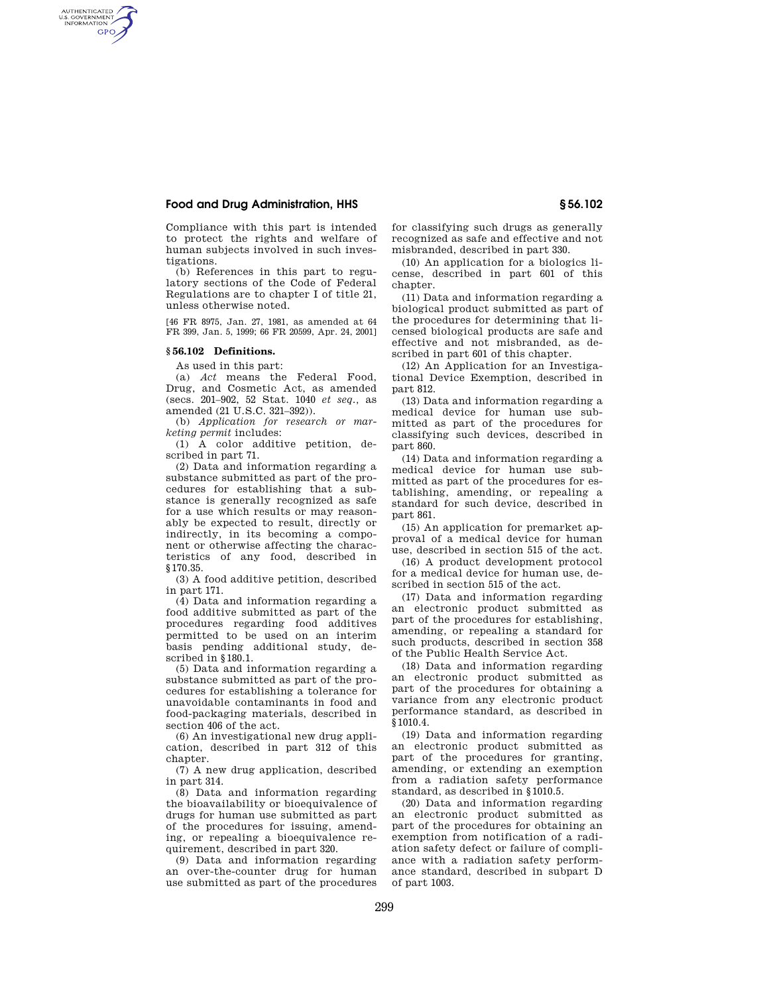# **Food and Drug Administration, HHS § 56.102**

Compliance with this part is intended to protect the rights and welfare of human subjects involved in such investigations.

(b) References in this part to regulatory sections of the Code of Federal Regulations are to chapter I of title 21, unless otherwise noted.

[46 FR 8975, Jan. 27, 1981, as amended at 64 FR 399, Jan. 5, 1999; 66 FR 20599, Apr. 24, 2001]

## **§ 56.102 Definitions.**

AUTHENTICATED<br>U.S. GOVERNMENT<br>INFORMATION **GPO** 

As used in this part:

(a) *Act* means the Federal Food, Drug, and Cosmetic Act, as amended (secs. 201–902, 52 Stat. 1040 *et seq.,* as amended (21 U.S.C. 321–392)).

(b) *Application for research or marketing permit* includes:

(1) A color additive petition, described in part 71.

(2) Data and information regarding a substance submitted as part of the procedures for establishing that a substance is generally recognized as safe for a use which results or may reasonably be expected to result, directly or indirectly, in its becoming a component or otherwise affecting the characteristics of any food, described in §170.35.

(3) A food additive petition, described in part 171.

(4) Data and information regarding a food additive submitted as part of the procedures regarding food additives permitted to be used on an interim basis pending additional study, described in §180.1.

(5) Data and information regarding a substance submitted as part of the procedures for establishing a tolerance for unavoidable contaminants in food and food-packaging materials, described in section 406 of the act.

(6) An investigational new drug application, described in part 312 of this chapter.

(7) A new drug application, described in part 314.

(8) Data and information regarding the bioavailability or bioequivalence of drugs for human use submitted as part of the procedures for issuing, amending, or repealing a bioequivalence requirement, described in part 320.

(9) Data and information regarding an over-the-counter drug for human use submitted as part of the procedures for classifying such drugs as generally recognized as safe and effective and not misbranded, described in part 330.

(10) An application for a biologics license, described in part 601 of this chapter.

(11) Data and information regarding a biological product submitted as part of the procedures for determining that licensed biological products are safe and effective and not misbranded, as described in part 601 of this chapter.

(12) An Application for an Investigational Device Exemption, described in part 812.

(13) Data and information regarding a medical device for human use submitted as part of the procedures for classifying such devices, described in part 860.

(14) Data and information regarding a medical device for human use submitted as part of the procedures for establishing, amending, or repealing a standard for such device, described in part 861.

(15) An application for premarket approval of a medical device for human use, described in section 515 of the act.

(16) A product development protocol for a medical device for human use, described in section 515 of the act.

(17) Data and information regarding an electronic product submitted as part of the procedures for establishing, amending, or repealing a standard for such products, described in section 358 of the Public Health Service Act.

(18) Data and information regarding an electronic product submitted as part of the procedures for obtaining a variance from any electronic product performance standard, as described in §1010.4.

(19) Data and information regarding an electronic product submitted as part of the procedures for granting, amending, or extending an exemption from a radiation safety performance standard, as described in §1010.5.

(20) Data and information regarding an electronic product submitted as part of the procedures for obtaining an exemption from notification of a radiation safety defect or failure of compliance with a radiation safety performance standard, described in subpart D of part 1003.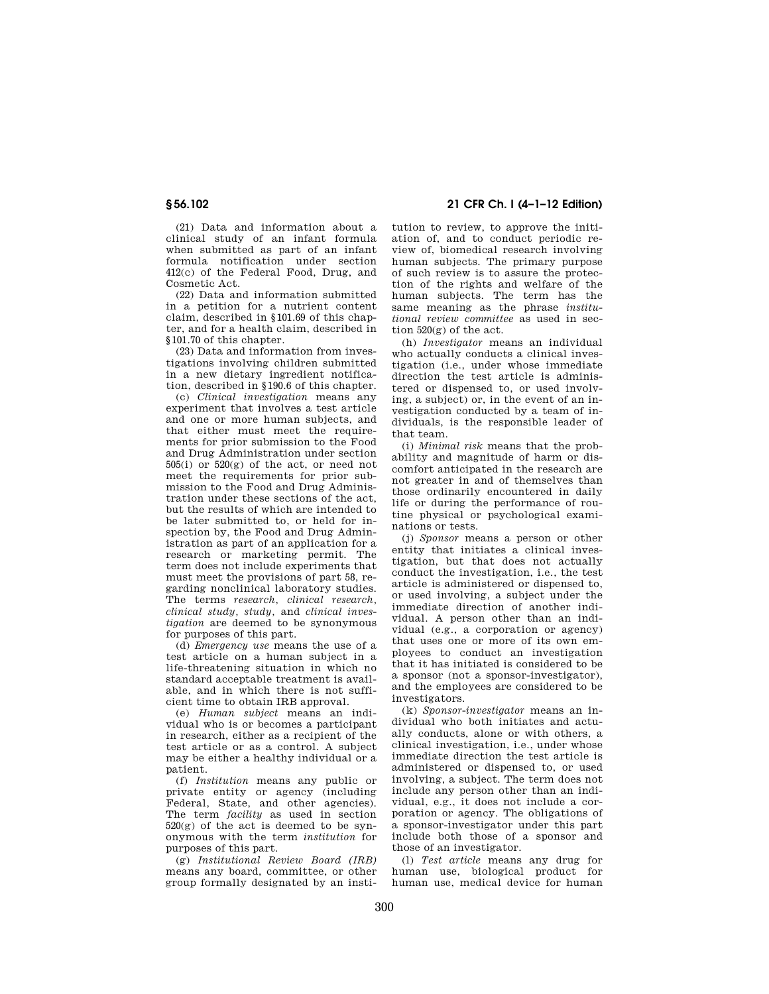(21) Data and information about a clinical study of an infant formula when submitted as part of an infant formula notification under section 412(c) of the Federal Food, Drug, and Cosmetic Act.

(22) Data and information submitted in a petition for a nutrient content claim, described in §101.69 of this chapter, and for a health claim, described in §101.70 of this chapter.

(23) Data and information from investigations involving children submitted in a new dietary ingredient notification, described in §190.6 of this chapter.

(c) *Clinical investigation* means any experiment that involves a test article and one or more human subjects, and that either must meet the requirements for prior submission to the Food and Drug Administration under section  $505(i)$  or  $520(g)$  of the act, or need not meet the requirements for prior submission to the Food and Drug Administration under these sections of the act, but the results of which are intended to be later submitted to, or held for inspection by, the Food and Drug Administration as part of an application for a research or marketing permit. The term does not include experiments that must meet the provisions of part 58, regarding nonclinical laboratory studies. The terms *research, clinical research, clinical study, study,* and *clinical investigation* are deemed to be synonymous for purposes of this part.

(d) *Emergency use* means the use of a test article on a human subject in a life-threatening situation in which no standard acceptable treatment is available, and in which there is not sufficient time to obtain IRB approval.

(e) *Human subject* means an individual who is or becomes a participant in research, either as a recipient of the test article or as a control. A subject may be either a healthy individual or a patient.

(f) *Institution* means any public or private entity or agency (including Federal, State, and other agencies). The term *facility* as used in section  $520(e)$  of the act is deemed to be synonymous with the term *institution* for purposes of this part.

(g) *Institutional Review Board (IRB)*  means any board, committee, or other group formally designated by an insti-

**§ 56.102 21 CFR Ch. I (4–1–12 Edition)** 

tution to review, to approve the initiation of, and to conduct periodic review of, biomedical research involving human subjects. The primary purpose of such review is to assure the protection of the rights and welfare of the human subjects. The term has the same meaning as the phrase *institutional review committee* as used in section 520(g) of the act.

(h) *Investigator* means an individual who actually conducts a clinical investigation (i.e., under whose immediate direction the test article is administered or dispensed to, or used involving, a subject) or, in the event of an investigation conducted by a team of individuals, is the responsible leader of that team.

(i) *Minimal risk* means that the probability and magnitude of harm or discomfort anticipated in the research are not greater in and of themselves than those ordinarily encountered in daily life or during the performance of routine physical or psychological examinations or tests.

(j) *Sponsor* means a person or other entity that initiates a clinical investigation, but that does not actually conduct the investigation, i.e., the test article is administered or dispensed to, or used involving, a subject under the immediate direction of another individual. A person other than an individual (e.g., a corporation or agency) that uses one or more of its own employees to conduct an investigation that it has initiated is considered to be a sponsor (not a sponsor-investigator), and the employees are considered to be investigators.

(k) *Sponsor-investigator* means an individual who both initiates and actually conducts, alone or with others, a clinical investigation, i.e., under whose immediate direction the test article is administered or dispensed to, or used involving, a subject. The term does not include any person other than an individual, e.g., it does not include a corporation or agency. The obligations of a sponsor-investigator under this part include both those of a sponsor and those of an investigator.

(l) *Test article* means any drug for human use, biological product for human use, medical device for human